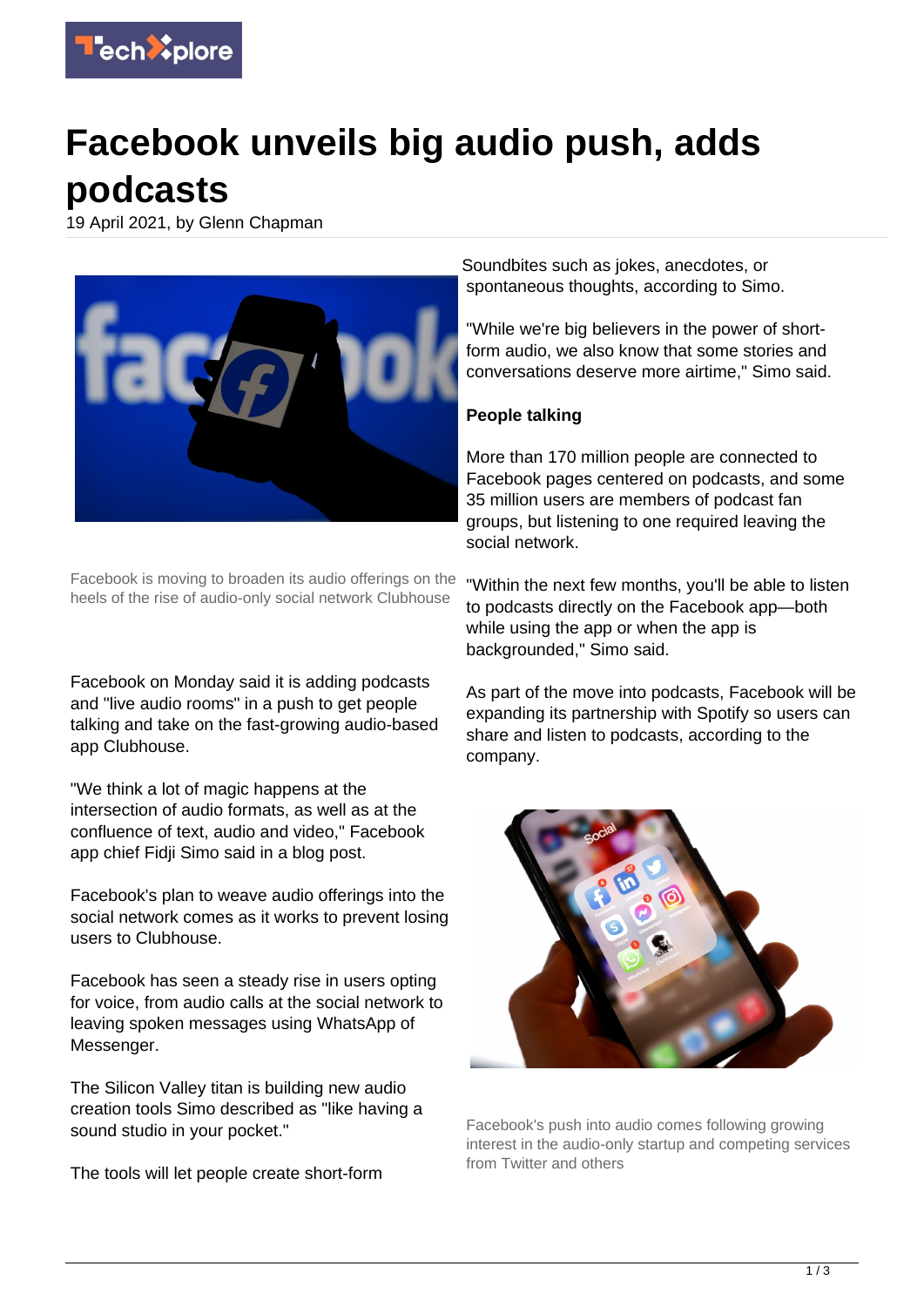

## **Facebook unveils big audio push, adds podcasts**

19 April 2021, by Glenn Chapman



Facebook is moving to broaden its audio offerings on the heels of the rise of audio-only social network Clubhouse

Facebook on Monday said it is adding podcasts and "live audio rooms" in a push to get people talking and take on the fast-growing audio-based app Clubhouse.

"We think a lot of magic happens at the intersection of audio formats, as well as at the confluence of text, audio and video," Facebook app chief Fidji Simo said in a blog post.

Facebook's plan to weave audio offerings into the social network comes as it works to prevent losing users to Clubhouse.

Facebook has seen a steady rise in users opting for voice, from audio calls at the social network to leaving spoken messages using WhatsApp of Messenger.

The Silicon Valley titan is building new audio creation tools Simo described as "like having a sound studio in your pocket."

The tools will let people create short-form

Soundbites such as jokes, anecdotes, or spontaneous thoughts, according to Simo.

"While we're big believers in the power of shortform audio, we also know that some stories and conversations deserve more airtime," Simo said.

## **People talking**

More than 170 million people are connected to Facebook pages centered on podcasts, and some 35 million users are members of podcast fan groups, but listening to one required leaving the social network.

"Within the next few months, you'll be able to listen to podcasts directly on the Facebook app—both while using the app or when the app is backgrounded," Simo said.

As part of the move into podcasts, Facebook will be expanding its partnership with Spotify so users can share and listen to podcasts, according to the company.



Facebook's push into audio comes following growing interest in the audio-only startup and competing services from Twitter and others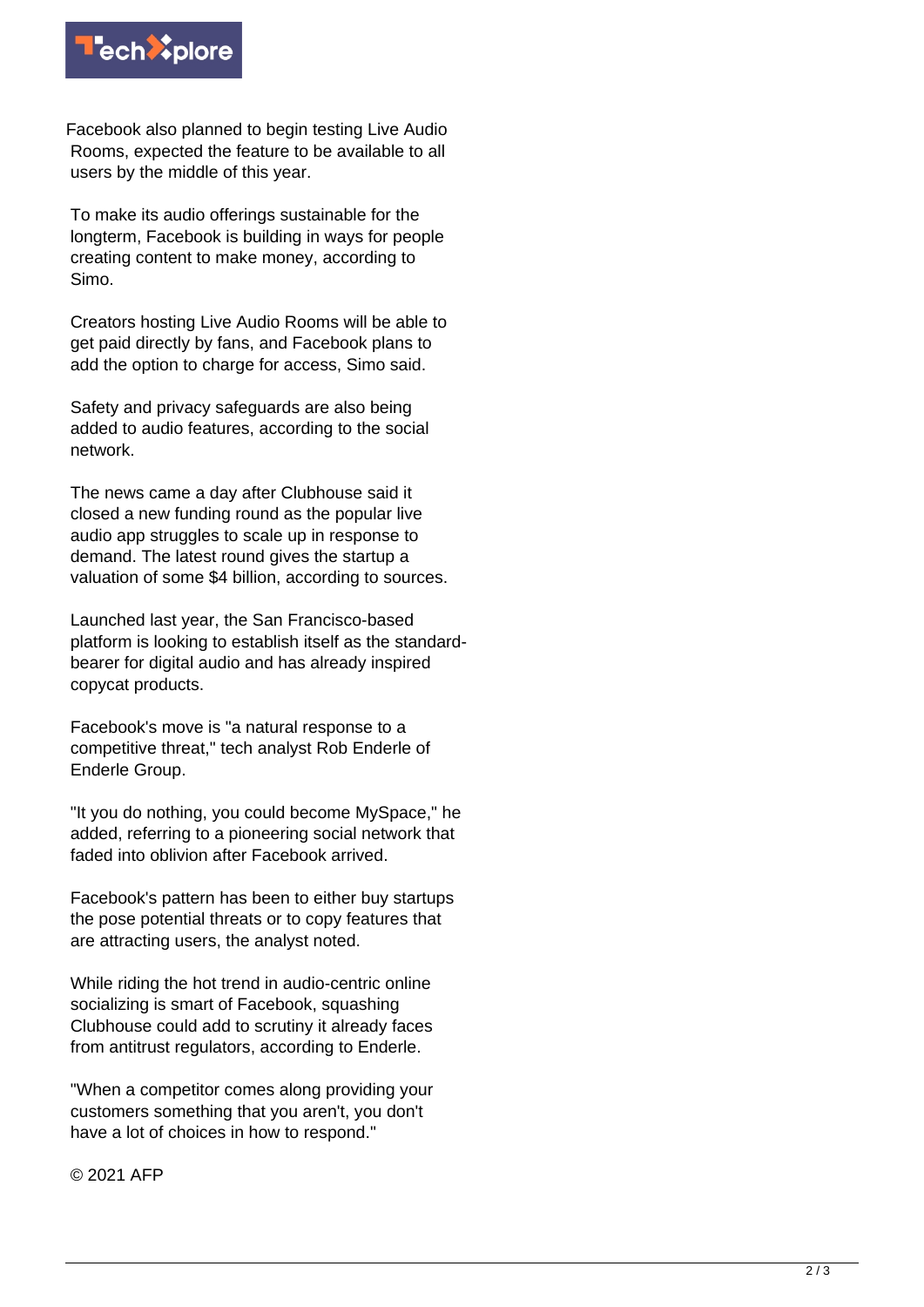

Facebook also planned to begin testing Live Audio Rooms, expected the feature to be available to all users by the middle of this year.

To make its audio offerings sustainable for the longterm, Facebook is building in ways for people creating content to make money, according to Simo.

Creators hosting Live Audio Rooms will be able to get paid directly by fans, and Facebook plans to add the option to charge for access, Simo said.

Safety and privacy safeguards are also being added to audio features, according to the social network.

The news came a day after Clubhouse said it closed a new funding round as the popular live audio app struggles to scale up in response to demand. The latest round gives the startup a valuation of some \$4 billion, according to sources.

Launched last year, the San Francisco-based platform is looking to establish itself as the standardbearer for digital audio and has already inspired copycat products.

Facebook's move is "a natural response to a competitive threat," tech analyst Rob Enderle of Enderle Group.

"It you do nothing, you could become MySpace," he added, referring to a pioneering social network that faded into oblivion after Facebook arrived.

Facebook's pattern has been to either buy startups the pose potential threats or to copy features that are attracting users, the analyst noted.

While riding the hot trend in audio-centric online socializing is smart of Facebook, squashing Clubhouse could add to scrutiny it already faces from antitrust regulators, according to Enderle.

"When a competitor comes along providing your customers something that you aren't, you don't have a lot of choices in how to respond."

© 2021 AFP